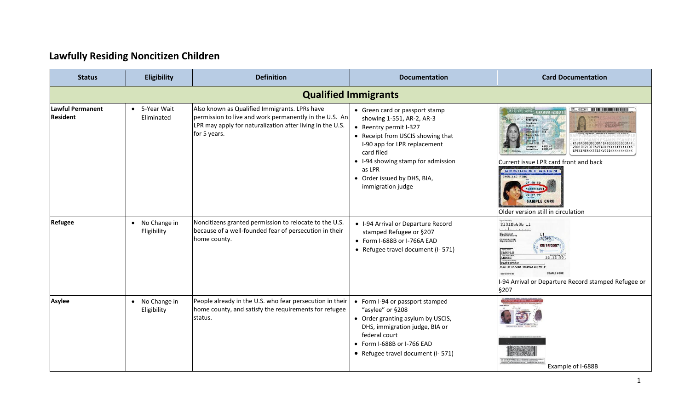## **Lawfully Residing Noncitizen Children**

| <b>Status</b>                       | <b>Eligibility</b>            | <b>Definition</b>                                                                                                                                                                    | <b>Documentation</b>                                                                                                                                                                                                                                                         | <b>Card Documentation</b>                                                                                                                                                                                                                                                                                                                                                                                                                                                                      |  |  |  |
|-------------------------------------|-------------------------------|--------------------------------------------------------------------------------------------------------------------------------------------------------------------------------------|------------------------------------------------------------------------------------------------------------------------------------------------------------------------------------------------------------------------------------------------------------------------------|------------------------------------------------------------------------------------------------------------------------------------------------------------------------------------------------------------------------------------------------------------------------------------------------------------------------------------------------------------------------------------------------------------------------------------------------------------------------------------------------|--|--|--|
|                                     | <b>Qualified Immigrants</b>   |                                                                                                                                                                                      |                                                                                                                                                                                                                                                                              |                                                                                                                                                                                                                                                                                                                                                                                                                                                                                                |  |  |  |
| Lawful Permanent<br><b>Resident</b> | • 5-Year Wait<br>Eliminated   | Also known as Qualified Immigrants. LPRs have<br>permission to live and work permanently in the U.S. An<br>LPR may apply for naturalization after living in the U.S.<br>for 5 years. | • Green card or passport stamp<br>showing 1-551, AR-2, AR-3<br>• Reentry permit I-327<br>• Receipt from USCIS showing that<br>I-90 app for LPR replacement<br>card filed<br>• I-94 showing stamp for admission<br>as LPR<br>• Order issued by DHS, BIA,<br>immigration judge | <b>UNITED STATES OF AMERICA<sup>S</sup> PERMANENT RES</b><br><b>FUILED IN AN WARD SUFFERING N</b><br><b>TEST V</b><br>USCIS# Catego<br>ONE of Birn<br>01 JAN 1920 F<br>68/21/07<br>08/21/07<br>08/21/07<br>2001012F0708214UTP<<<<<<<<<<<br>SPECIMEN< <test<void<<<<<<<<<<<br>Current issue LPR card front and back<br/><b>RESIDENT ALIEN</b><br/>HOW, LAI PING<br/>17 10 50<br/>A028256001<br/>06 29 99<br/><b>SAMPLE CARD</b><br/>Older version still in circulation</test<void<<<<<<<<<<<br> |  |  |  |
| <b>Refugee</b>                      | • No Change in<br>Eligibility | Noncitizens granted permission to relocate to the U.S.<br>because of a well-founded fear of persecution in their<br>home county.                                                     | • I-94 Arrival or Departure Record<br>stamped Refugee or §207<br>• Form I-688B or I-766A EAD<br>• Refugee travel document (I-571)                                                                                                                                            | 813106636 11<br>.<br><b>Department of<br/>Homeland Security</b><br>L1<br>12345<br>CBP I-94A (11/04)<br>Departure Record<br>09/17/2007<br>SAMPLE<br>22, 12, 50<br>PAKISTAN<br>20041122 US-VISIT 20050207 MULTIPLE<br>STAPLE HERE<br>See Other Sid<br>I-94 Arrival or Departure Record stamped Refugee or<br>§207                                                                                                                                                                                |  |  |  |
| <b>Asylee</b>                       | • No Change in<br>Eligibility | People already in the U.S. who fear persecution in their<br>home county, and satisfy the requirements for refugee<br>status.                                                         | • Form I-94 or passport stamped<br>"asylee" or §208<br>• Order granting asylum by USCIS,<br>DHS, immigration judge, BIA or<br>federal court<br>• Form I-688B or I-766 EAD<br>• Refugee travel document (I-571)                                                               | Example of I-688B                                                                                                                                                                                                                                                                                                                                                                                                                                                                              |  |  |  |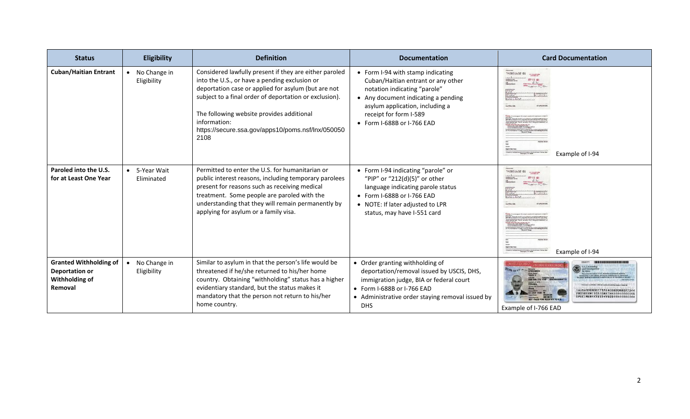| <b>Status</b>                                                                | <b>Eligibility</b>                       | <b>Definition</b>                                                                                                                                                                                                                                                                                                                                  | <b>Documentation</b>                                                                                                                                                                                                                      | <b>Card Documentation</b>                                                       |
|------------------------------------------------------------------------------|------------------------------------------|----------------------------------------------------------------------------------------------------------------------------------------------------------------------------------------------------------------------------------------------------------------------------------------------------------------------------------------------------|-------------------------------------------------------------------------------------------------------------------------------------------------------------------------------------------------------------------------------------------|---------------------------------------------------------------------------------|
| <b>Cuban/Haitian Entrant</b>                                                 | • No Change in<br>Eligibility            | Considered lawfully present if they are either paroled<br>into the U.S., or have a pending exclusion or<br>deportation case or applied for asylum (but are not<br>subject to a final order of deportation or exclusion).<br>The following website provides additional<br>information:<br>https://secure.ssa.gov/apps10/poms.nsf/lnx/050050<br>2108 | • Form I-94 with stamp indicating<br>Cuban/Haitian entrant or any other<br>notation indicating "parole"<br>• Any document indicating a pending<br>asylum application, including a<br>receipt for form I-589<br>• Form I-688B or I-766 EAD | 10 5Ed1E8SPT<br>P C C A N C<br>Example of I-94                                  |
| Paroled into the U.S.<br>for at Least One Year                               | • 5-Year Wait<br>Eliminated              | Permitted to enter the U.S. for humanitarian or<br>public interest reasons, including temporary parolees<br>present for reasons such as receiving medical<br>treatment. Some people are paroled with the<br>understanding that they will remain permanently by<br>applying for asylum or a family visa.                                            | • Form I-94 indicating "parole" or<br>"PIP" or "212(d)(5)" or other<br>language indicating parole status<br>• Form I-688B or I-766 EAD<br>• NOTE: If later adjusted to LPR<br>status, may have I-551 card                                 | 10 5641685#7<br><b><i>U.S. DESIGNATION</i></b><br>P.C.C.A.N.<br>Example of I-94 |
| <b>Granted Withholding of</b><br>Deportation or<br>Withholding of<br>Removal | No Change in<br>$\bullet$<br>Eligibility | Similar to asylum in that the person's life would be<br>threatened if he/she returned to his/her home<br>country. Obtaining "withholding" status has a higher<br>evidentiary standard, but the status makes it<br>mandatory that the person not return to his/her<br>home country.                                                                 | • Order granting withholding of<br>deportation/removal issued by USCIS, DHS,<br>immigration judge, BIA or federal court<br>• Form I-688B or I-766 EAD<br>• Administrative order staying removal issued by<br><b>DHS</b>                   | SPECIMEN<br>Example of I-766 EAD                                                |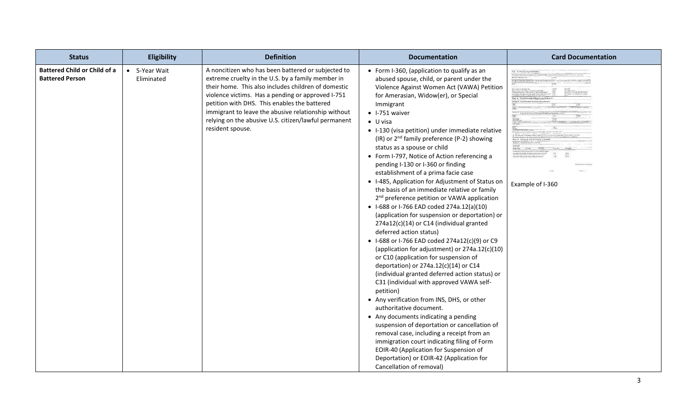| <b>Status</b>                                                 | Eligibility                 | <b>Definition</b>                                                                                                                                                                                                                                                                                                                                                                                      | <b>Documentation</b>                                                                                                                                                                                                                                                                                                                                                                                                                                                                                                                                                                                                                                                                                                                                                                                                                                                                                                                                                                                                                                                                                                                                                                                                                                                                                                                                                                                                                                                                                                                    | <b>Card Documentation</b>                   |
|---------------------------------------------------------------|-----------------------------|--------------------------------------------------------------------------------------------------------------------------------------------------------------------------------------------------------------------------------------------------------------------------------------------------------------------------------------------------------------------------------------------------------|-----------------------------------------------------------------------------------------------------------------------------------------------------------------------------------------------------------------------------------------------------------------------------------------------------------------------------------------------------------------------------------------------------------------------------------------------------------------------------------------------------------------------------------------------------------------------------------------------------------------------------------------------------------------------------------------------------------------------------------------------------------------------------------------------------------------------------------------------------------------------------------------------------------------------------------------------------------------------------------------------------------------------------------------------------------------------------------------------------------------------------------------------------------------------------------------------------------------------------------------------------------------------------------------------------------------------------------------------------------------------------------------------------------------------------------------------------------------------------------------------------------------------------------------|---------------------------------------------|
| <b>Battered Child or Child of a</b><br><b>Battered Person</b> | • 5-Year Wait<br>Eliminated | A noncitizen who has been battered or subjected to<br>extreme cruelty in the U.S. by a family member in<br>their home. This also includes children of domestic<br>violence victims. Has a pending or approved I-751<br>petition with DHS. This enables the battered<br>immigrant to leave the abusive relationship without<br>relying on the abusive U.S. citizen/lawful permanent<br>resident spouse. | • Form I-360, (application to qualify as an<br>abused spouse, child, or parent under the<br>Violence Against Women Act (VAWA) Petition<br>for Amerasian, Widow(er), or Special<br>Immigrant<br>$\bullet$ I-751 waiver<br>$\bullet$ U visa<br>• I-130 (visa petition) under immediate relative<br>(IR) or 2 <sup>nd</sup> family preference (P-2) showing<br>status as a spouse or child<br>• Form I-797, Notice of Action referencing a<br>pending I-130 or I-360 or finding<br>establishment of a prima facie case<br>• I-485, Application for Adjustment of Status on<br>the basis of an immediate relative or family<br>2 <sup>nd</sup> preference petition or VAWA application<br>• I-688 or I-766 EAD coded 274a.12(a)(10)<br>(application for suspension or deportation) or<br>274a12(c)(14) or C14 (individual granted<br>deferred action status)<br>• I-688 or I-766 EAD coded 274a12(c)(9) or C9<br>(application for adjustment) or 274a.12(c)(10)<br>or C10 (application for suspension of<br>deportation) or 274a.12(c)(14) or C14<br>(individual granted deferred action status) or<br>C31 (individual with approved VAWA self-<br>petition)<br>• Any verification from INS, DHS, or other<br>authoritative document.<br>• Any documents indicating a pending<br>suspension of deportation or cancellation of<br>removal case, including a receipt from an<br>immigration court indicating filing of Form<br>EOIR-40 (Application for Suspension of<br>Deportation) or EOIR-42 (Application for<br>Cancellation of removal) | Port 4. Processing list<br>Example of I-360 |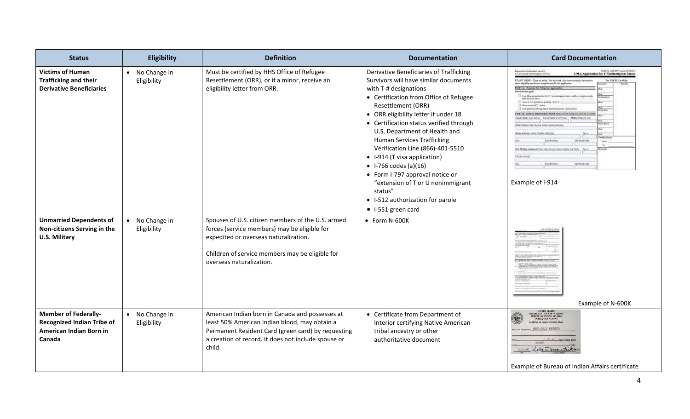| <b>Status</b>                                                                                         | Eligibility                   | <b>Definition</b>                                                                                                                                                                                                         | <b>Documentation</b>                                                                                                                                                                                                                                                                                                                                                                                                                                                                                                                                                                   | <b>Card Documentation</b>                                                                                                                                                                                                                                                                                                                                                                                                                                                                                                                                                                                                                                                                                                                                                                                                                                                                                                                                                                               |
|-------------------------------------------------------------------------------------------------------|-------------------------------|---------------------------------------------------------------------------------------------------------------------------------------------------------------------------------------------------------------------------|----------------------------------------------------------------------------------------------------------------------------------------------------------------------------------------------------------------------------------------------------------------------------------------------------------------------------------------------------------------------------------------------------------------------------------------------------------------------------------------------------------------------------------------------------------------------------------------|---------------------------------------------------------------------------------------------------------------------------------------------------------------------------------------------------------------------------------------------------------------------------------------------------------------------------------------------------------------------------------------------------------------------------------------------------------------------------------------------------------------------------------------------------------------------------------------------------------------------------------------------------------------------------------------------------------------------------------------------------------------------------------------------------------------------------------------------------------------------------------------------------------------------------------------------------------------------------------------------------------|
| <b>Victims of Human</b><br><b>Trafficking and their</b><br><b>Derivative Beneficiaries</b>            | • No Change in<br>Eligibility | Must be certified by HHS Office of Refugee<br>Resettlement (ORR), or if a minor, receive an<br>eligibility letter from ORR.                                                                                               | Derivative Beneficiaries of Trafficking<br>Survivors will have similar documents<br>with T-# designations<br>• Certification from Office of Refugee<br>Resettlement (ORR)<br>• ORR eligibility letter if under 18<br>• Certification status verified through<br>U.S. Department of Health and<br><b>Human Services Trafficking</b><br>Verification Line (866)-401-5510<br>• I-914 (T visa application)<br>• $1-766 \text{ codes (a)(16)}$<br>• Form I-797 approval notice or<br>"extension of T or U nonimmigrant<br>status"<br>• I-512 authorization for parole<br>• I-551 green card | <b>Department of Hollydayd Security</b><br>1-914, Application for T Nonimmigrant Status<br>U.S. Citizenskip and Imanigration Seri<br>START HERE - Type or print. the steek is t. See Australian for information<br>about slightly and has as complete and file this application.<br>For USCIS Use Only<br>PART A Perpose for Filing the Application<br>I Law Shing an applica-<br>regulari status; and have not prevenud-<br>that he such sixts<br>Have a T-1 application position<br>Horse received T. Labels<br>I tem applying a tring family secretated to the United States<br>PART 8: General Information About You (Person Alog this form as a vi-<br>Funds Nation (Los Nine) Gives Name (For Nova) Middle Name (Cour<br>Other Names Used Becould maides nenoticidens<br>Mamo Address - Strott Number and Nat<br>141.8<br>Zip/Postal Code<br><b>Felix</b><br>Safe Midling Address (Tother than above) - Sayot Number and Name Apr. 8<br>CO Griden of<br><b>Zip/Field Cole</b><br>Example of I-914 |
| <b>Unmarried Dependents of</b><br>Non-citizens Serving in the<br><b>U.S. Military</b>                 | • No Change in<br>Eligibility | Spouses of U.S. citizen members of the U.S. armed<br>forces (service members) may be eligible for<br>expedited or overseas naturalization.<br>Children of service members may be eligible for<br>overseas naturalization. | • Form N-600K                                                                                                                                                                                                                                                                                                                                                                                                                                                                                                                                                                          | Example of N-600K                                                                                                                                                                                                                                                                                                                                                                                                                                                                                                                                                                                                                                                                                                                                                                                                                                                                                                                                                                                       |
| <b>Member of Federally-</b><br><b>Recognized Indian Tribe of</b><br>American Indian Born in<br>Canada | • No Change in<br>Eligibility | American Indian born in Canada and possesses at<br>least 50% American Indian blood, may obtain a<br>Permanent Resident Card (green card) by requesting<br>a creation of record. It does not include spouse or<br>child.   | • Certificate from Department of<br>Interior certifying Native American<br>tribal ancestry or other<br>authoritative document                                                                                                                                                                                                                                                                                                                                                                                                                                                          | UNITED STATES<br><b>SUREAU OF INDIAN AFFAIRS</b><br><b>TAHLEQUAR AGENCY</b><br>well-cate of Degree of Ludian Blood<br>. NISSES PRILLIP KONZANTI<br><b>Therekee</b><br>1919 Lela J. Ummutus<br>Example of Bureau of Indian Affairs certificate                                                                                                                                                                                                                                                                                                                                                                                                                                                                                                                                                                                                                                                                                                                                                           |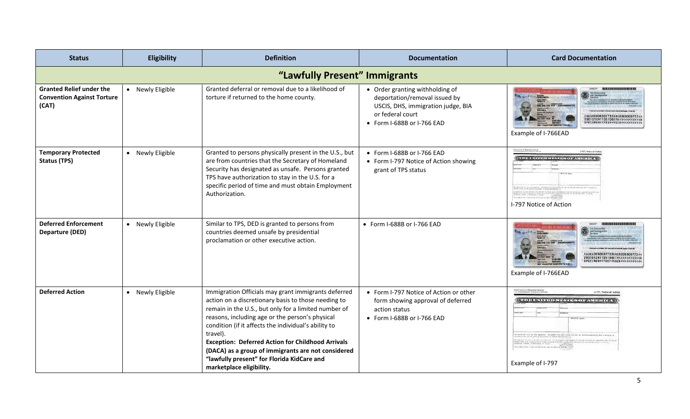| <b>Status</b>                                                                 | Eligibility                   | <b>Definition</b>                                                                                                                                                                                                                                                                                                                                                                                                                                                                     | <b>Documentation</b>                                                                                                                                     | <b>Card Documentation</b>                                                                                                                                                                                                            |  |  |
|-------------------------------------------------------------------------------|-------------------------------|---------------------------------------------------------------------------------------------------------------------------------------------------------------------------------------------------------------------------------------------------------------------------------------------------------------------------------------------------------------------------------------------------------------------------------------------------------------------------------------|----------------------------------------------------------------------------------------------------------------------------------------------------------|--------------------------------------------------------------------------------------------------------------------------------------------------------------------------------------------------------------------------------------|--|--|
|                                                                               | "Lawfully Present" Immigrants |                                                                                                                                                                                                                                                                                                                                                                                                                                                                                       |                                                                                                                                                          |                                                                                                                                                                                                                                      |  |  |
| <b>Granted Relief under the</b><br><b>Convention Against Torture</b><br>(CAT) | • Newly Eligible              | Granted deferral or removal due to a likelihood of<br>torture if returned to the home county.                                                                                                                                                                                                                                                                                                                                                                                         | • Order granting withholding of<br>deportation/removal issued by<br>USCIS, DHS, immigration judge, BIA<br>or federal court<br>• Form I-688B or I-766 EAD | AUSA0000007733SRC0000000773<<br>IAUSAUUUUUTTISSALUUUTEKKKKKKKKK<br>2001012M1105108ETHKKKKKKKKKKKK<br>SPECIMENKKTESTKV0IDKKKKKKKKKKK<br>Example of I-766EAD                                                                           |  |  |
| <b>Temporary Protected</b><br><b>Status (TPS)</b>                             | • Newly Eligible              | Granted to persons physically present in the U.S., but<br>are from countries that the Secretary of Homeland<br>Security has designated as unsafe. Persons granted<br>TPS have authorization to stay in the U.S. for a<br>specific period of time and must obtain Employment<br>Authorization.                                                                                                                                                                                         | • Form I-688B or I-766 EAD<br>• Form I-797 Notice of Action showing<br>grant of TPS status                                                               | <b>Department of Honeland Securi</b><br>U.S. Computer and Count<br>I-797, Notice of Action<br><b>THE UNIVERSITY STATES OF AMERICA</b><br>THE COUNTY WILL BE WELFARED A WAS ARRESTED FOR THE<br>I-797 Notice of Action                |  |  |
| <b>Deferred Enforcement</b><br>Departure (DED)                                | • Newly Eligible              | Similar to TPS, DED is granted to persons from<br>countries deemed unsafe by presidential<br>proclamation or other executive action.                                                                                                                                                                                                                                                                                                                                                  | • Form I-688B or I-766 EAD                                                                                                                               | <b>IES REIT I<sup>ES din</sup> 1999, Benamin</b><br>00-000-773 C19 GR<br>Example of I-766EAD                                                                                                                                         |  |  |
| <b>Deferred Action</b>                                                        | • Newly Eligible              | Immigration Officials may grant immigrants deferred<br>action on a discretionary basis to those needing to<br>remain in the U.S., but only for a limited number of<br>reasons, including age or the person's physical<br>condition (if it affects the individual's ability to<br>travel).<br><b>Exception: Deferred Action for Childhood Arrivals</b><br>(DACA) as a group of immigrants are not considered<br>"lawfully present" for Florida KidCare and<br>marketplace eligibility. | • Form I-797 Notice of Action or other<br>form showing approval of deferred<br>action status<br>• Form I-688B or I-766 EAD                               | Department of Hopeland Society<br>U.S. Computer and Insertionium Servi<br>I-797, Notice of Action<br>THE E UNITED STATES OF AMERICA<br><b>Notice Type</b><br>TO WELL PET A VISA RE NOT IT AS WAS A WAS AT A WAY.<br>Example of I-797 |  |  |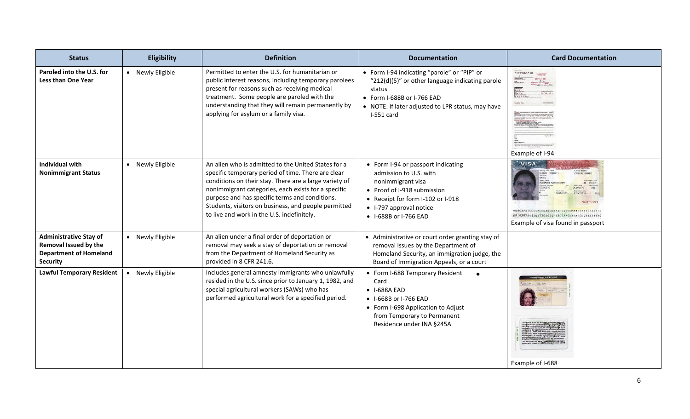| <b>Status</b>                                                                                              | Eligibility      | <b>Definition</b>                                                                                                                                                                                                                                                                                                                                                                  | <b>Documentation</b>                                                                                                                                                                                      | <b>Card Documentation</b>                                                                                                                                                                                                                              |
|------------------------------------------------------------------------------------------------------------|------------------|------------------------------------------------------------------------------------------------------------------------------------------------------------------------------------------------------------------------------------------------------------------------------------------------------------------------------------------------------------------------------------|-----------------------------------------------------------------------------------------------------------------------------------------------------------------------------------------------------------|--------------------------------------------------------------------------------------------------------------------------------------------------------------------------------------------------------------------------------------------------------|
| Paroled into the U.S. for<br>Less than One Year                                                            | • Newly Eligible | Permitted to enter the U.S. for humanitarian or<br>public interest reasons, including temporary parolees<br>present for reasons such as receiving medical<br>treatment. Some people are paroled with the<br>understanding that they will remain permanently by<br>applying for asylum or a family visa.                                                                            | • Form I-94 indicating "parole" or "PIP" or<br>"212(d)(5)" or other language indicating parole<br>status<br>• Form I-688B or I-766 EAD<br>• NOTE: If later adjusted to LPR status, may have<br>I-551 card | 14583163201<br>Example of I-94                                                                                                                                                                                                                         |
| <b>Individual with</b><br><b>Nonimmigrant Status</b>                                                       | • Newly Eligible | An alien who is admitted to the United States for a<br>specific temporary period of time. There are clear<br>conditions on their stay. There are a large variety of<br>nonimmigrant categories, each exists for a specific<br>purpose and has specific terms and conditions.<br>Students, visitors on business, and people permitted<br>to live and work in the U.S. indefinitely. | • Form I-94 or passport indicating<br>admission to U.S. with<br>nonimmigrant visa<br>• Proof of I-918 submission<br>• Receipt for form I-102 or I-918<br>• I-797 approval notice<br>• I-688B or I-766 EAD | VISA<br>HUMAI (ROMA)<br>FORT ARTAMENT<br><b>ETHAREN HAHES</b><br>043LN1973<br>VNUSAPATEL< <meenaben<maheshkumar<<<<<<<<<<<br>E9192976&lt;11ND7306044F1805279B3BMBDEW21473139<br/>Example of visa found in passport</meenaben<maheshkumar<<<<<<<<<<<br> |
| <b>Administrative Stay of</b><br>Removal Issued by the<br><b>Department of Homeland</b><br><b>Security</b> | • Newly Eligible | An alien under a final order of deportation or<br>removal may seek a stay of deportation or removal<br>from the Department of Homeland Security as<br>provided in 8 CFR 241.6.                                                                                                                                                                                                     | • Administrative or court order granting stay of<br>removal issues by the Department of<br>Homeland Security, an immigration judge, the<br>Board of Immigration Appeals, or a court                       |                                                                                                                                                                                                                                                        |
| <b>Lawful Temporary Resident</b>                                                                           | • Newly Eligible | Includes general amnesty immigrants who unlawfully<br>resided in the U.S. since prior to January 1, 1982, and<br>special agricultural workers (SAWs) who has<br>performed agricultural work for a specified period.                                                                                                                                                                | • Form I-688 Temporary Resident<br>Card<br>• I-688A EAD<br>• I-668B or I-766 EAD<br>• Form I-698 Application to Adjust<br>from Temporary to Permanent<br>Residence under INA §245A                        | Example of I-688                                                                                                                                                                                                                                       |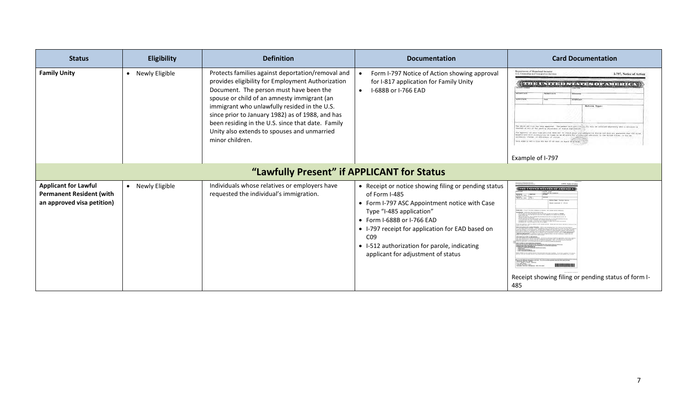| <b>Status</b>                                                                                | <b>Eligibility</b> | <b>Definition</b>                                                                                                                                                                                                                                                                                                                                                                                                           | <b>Documentation</b>                                                                                                                                                                                                                                                                                                                                  | <b>Card Documentation</b>                                                                                                                                                                                                                                                                                                                                                                                                                                                                                                                                                                                                                                                                                                                                                                                                                                                                                                                                                                                                                      |
|----------------------------------------------------------------------------------------------|--------------------|-----------------------------------------------------------------------------------------------------------------------------------------------------------------------------------------------------------------------------------------------------------------------------------------------------------------------------------------------------------------------------------------------------------------------------|-------------------------------------------------------------------------------------------------------------------------------------------------------------------------------------------------------------------------------------------------------------------------------------------------------------------------------------------------------|------------------------------------------------------------------------------------------------------------------------------------------------------------------------------------------------------------------------------------------------------------------------------------------------------------------------------------------------------------------------------------------------------------------------------------------------------------------------------------------------------------------------------------------------------------------------------------------------------------------------------------------------------------------------------------------------------------------------------------------------------------------------------------------------------------------------------------------------------------------------------------------------------------------------------------------------------------------------------------------------------------------------------------------------|
| <b>Family Unity</b>                                                                          | • Newly Eligible   | Protects families against deportation/removal and<br>provides eligibility for Employment Authorization<br>Document. The person must have been the<br>spouse or child of an amnesty immigrant (an<br>immigrant who unlawfully resided in the U.S.<br>since prior to January 1982) as of 1988, and has<br>been residing in the U.S. since that date. Family<br>Unity also extends to spouses and unmarried<br>minor children. | Form I-797 Notice of Action showing approval<br>for I-817 application for Family Unity<br>I-688B or I-766 EAD<br>$\bullet$                                                                                                                                                                                                                            | Department of Hogedaud Security<br>I-797, Notice of Action<br>U.S. Characteristic and Internationalizer New<br><b>THE ENDING BOOK CHEATERS</b><br><b>WEST STR.</b><br><b>Notice Type</b><br>College partition has been approved. Mustagement that partitionity for with two collines<br>cost on his or fac peeding adjustment of makes implicanties.<br>e expressi al sele visa periodime done nor to itemat drago explicabilication abatime and done any guarantee shar the atten<br>continuers will conveniently be found to be educated for a system of the motors in the motors, or the con-<br>change, on architecture of postals.<br>ATT - 2009 OF MY A VIDA RIS HAY IT AN USIN IN YOUR STATISTICS. THE<br>Example of I-797                                                                                                                                                                                                                                                                                                              |
|                                                                                              |                    | "Lawfully Present" if APPLICANT for Status                                                                                                                                                                                                                                                                                                                                                                                  |                                                                                                                                                                                                                                                                                                                                                       |                                                                                                                                                                                                                                                                                                                                                                                                                                                                                                                                                                                                                                                                                                                                                                                                                                                                                                                                                                                                                                                |
| <b>Applicant for Lawful</b><br><b>Permanent Resident (with</b><br>an approved visa petition) | • Newly Eligible   | Individuals whose relatives or employers have<br>requested the individual's immigration.                                                                                                                                                                                                                                                                                                                                    | • Receipt or notice showing filing or pending status<br>of Form I-485<br>• Form I-797 ASC Appointment notice with Case<br>Type "I-485 application"<br>$\bullet$ Form I-688B or I-766 EAD<br>• I-797 receipt for application for EAD based on<br>CO <sub>9</sub><br>• I-512 authorization for parole, indicating<br>applicant for adjustment of status | <b>(THE INDEED STATES OF ATTENT</b><br>Morris 19, 2004<br>West 29, 2014 1 of 1<br>Mobies Type: Incolor Nette<br>Mount received: 6 178.0<br><b>Semptembe</b> - If any of the store indicement as immercet, call monemed service semation<br>ternant procedurely time for this hind of ones on our autocour or employer.<br>The state start as to get from a that spiking as we complete the processes<br>$\mathcal{P}_{\text{M}}$ and $\mathcal{P}_{\text{M}}$ and $\mathcal{P}_{\text{M}}$ and $\mathcal{P}_{\text{M}}$ and $\mathcal{P}_{\text{M}}$ are also the set of $\mathcal{P}_{\text{M}}$ and $\mathcal{P}_{\text{M}}$<br>rollery photo Martification, at<br>1946 - Insura cham Martification and<br>Please set the additional information on the big matches<br>and sumplement construction of the $\alpha$ - $\beta$<br>and $\beta$ - $\alpha$ - $\beta$ - $\beta$<br>and $\beta$<br>.0. 808 82531<br>LINCOLE DE 48501-2521<br>Puntomer Desvice Telephone: 810-275-527<br>Receipt showing filing or pending status of form I-<br>485 |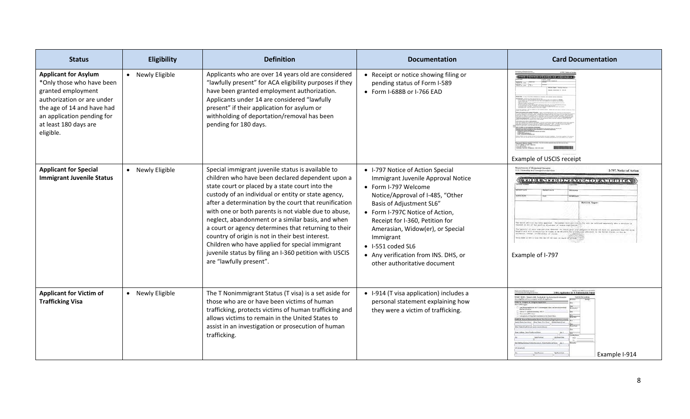| <b>Status</b>                                                                                                                                                                                                  | Eligibility      | <b>Definition</b>                                                                                                                                                                                                                                                                                                                                                                                                                                                                                                                                                                                                                         | <b>Documentation</b>                                                                                                                                                                                                                                                                                                                                                                       | <b>Card Documentation</b>                                                                                                                                                                                                                                                                                                                                                                                                                                                                                                                                                                                                                                                         |
|----------------------------------------------------------------------------------------------------------------------------------------------------------------------------------------------------------------|------------------|-------------------------------------------------------------------------------------------------------------------------------------------------------------------------------------------------------------------------------------------------------------------------------------------------------------------------------------------------------------------------------------------------------------------------------------------------------------------------------------------------------------------------------------------------------------------------------------------------------------------------------------------|--------------------------------------------------------------------------------------------------------------------------------------------------------------------------------------------------------------------------------------------------------------------------------------------------------------------------------------------------------------------------------------------|-----------------------------------------------------------------------------------------------------------------------------------------------------------------------------------------------------------------------------------------------------------------------------------------------------------------------------------------------------------------------------------------------------------------------------------------------------------------------------------------------------------------------------------------------------------------------------------------------------------------------------------------------------------------------------------|
| <b>Applicant for Asylum</b><br>*Only those who have been<br>granted employment<br>authorization or are under<br>the age of 14 and have had<br>an application pending for<br>at least 180 days are<br>eligible. | • Newly Eligible | Applicants who are over 14 years old are considered<br>"lawfully present" for ACA eligibility purposes if they<br>have been granted employment authorization.<br>Applicants under 14 are considered "lawfully<br>present" if their application for asylum or<br>withholding of deportation/removal has been<br>pending for 180 days.                                                                                                                                                                                                                                                                                                      | • Receipt or notice showing filing or<br>pending status of Form I-589<br>• Form I-688B or I-766 EAD                                                                                                                                                                                                                                                                                        | $(1 - 1)$<br>Winnertown<br>Warris 23, 2004<br>raing himse name for himse of them.<br>Server processing time for this hims of ones on our sensitio or week-gas.<br>Example of USCIS receipt                                                                                                                                                                                                                                                                                                                                                                                                                                                                                        |
| <b>Applicant for Special</b><br><b>Immigrant Juvenile Status</b>                                                                                                                                               | • Newly Eligible | Special immigrant juvenile status is available to<br>children who have been declared dependent upon a<br>state court or placed by a state court into the<br>custody of an individual or entity or state agency,<br>after a determination by the court that reunification<br>with one or both parents is not viable due to abuse,<br>neglect, abandonment or a similar basis, and when<br>a court or agency determines that returning to their<br>country of origin is not in their best interest.<br>Children who have applied for special immigrant<br>juvenile status by filing an I-360 petition with USCIS<br>are "lawfully present". | • I-797 Notice of Action Special<br>Immigrant Juvenile Approval Notice<br>• Form I-797 Welcome<br>Notice/Approval of I-485, "Other<br>Basis of Adjustment SL6"<br>• Form I-797C Notice of Action,<br>Receipt for I-360, Petition for<br>Amerasian, Widow(er), or Special<br>Immigrant<br>$\bullet$ 1-551 coded SL6<br>• Any verification from INS. DHS, or<br>other authoritative document | Department of Hosseland Security<br>U.S. Commethic and femalysism Sec<br>I-797, Notice of Action<br>THE E UNIQUE IS STATES OF AN ICE ICA<br>993300<br><b>Notice Type</b><br>obove performs has been approved. The person that performs the fix will be infilled expressivly above<br>Only on his or hat meeting adjusteent of status application.<br>the expression in this was periodic does not to create disc concidence on active and does any parameter that t<br>MONTCLANC will superpositely be these in an activities for a wind-give admission in the fields sixten, or due a<br>" Despite a main in mont for the state and any at real of the state<br>Example of I-797 |
| <b>Applicant for Victim of</b><br><b>Trafficking Visa</b>                                                                                                                                                      | • Newly Eligible | The T Nonimmigrant Status (T visa) is a set aside for<br>those who are or have been victims of human<br>trafficking, protects victims of human trafficking and<br>allows victims to remain in the United States to<br>assist in an investigation or prosecution of human<br>trafficking.                                                                                                                                                                                                                                                                                                                                                  | • I-914 (T visa application) includes a<br>personal statement explaining how<br>they were a victim of trafficking.                                                                                                                                                                                                                                                                         | 1-914. Apolication for T Nor<br>TAXT HERE - Type or print. The musk int. Soi As<br>ANY A Perpose for Filing<br>Apt. 6<br>lafe Mailing Address (Today than show) - Sayet Number and Name Age, at<br>Zip/Finial Code<br>Example I-914                                                                                                                                                                                                                                                                                                                                                                                                                                               |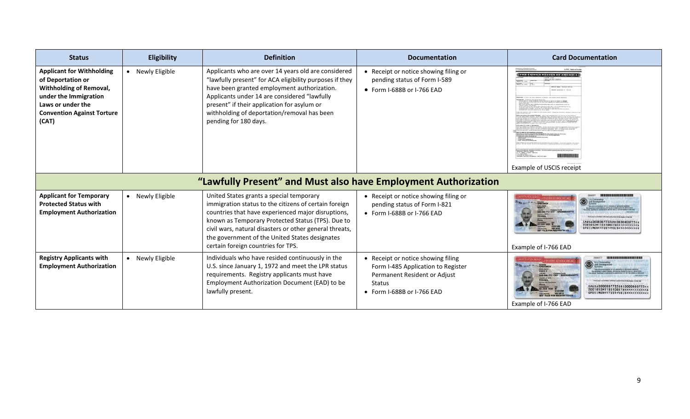| <b>Status</b>                                                                                                                                                                       | Eligibility      | <b>Definition</b>                                                                                                                                                                                                                                                                                                                                               | <b>Documentation</b>                                                                                                                             | <b>Card Documentation</b>                                                                                                |
|-------------------------------------------------------------------------------------------------------------------------------------------------------------------------------------|------------------|-----------------------------------------------------------------------------------------------------------------------------------------------------------------------------------------------------------------------------------------------------------------------------------------------------------------------------------------------------------------|--------------------------------------------------------------------------------------------------------------------------------------------------|--------------------------------------------------------------------------------------------------------------------------|
| <b>Applicant for Withholding</b><br>of Deportation or<br><b>Withholding of Removal,</b><br>under the Immigration<br>Laws or under the<br><b>Convention Against Torture</b><br>(CAT) | • Newly Eligible | Applicants who are over 14 years old are considered<br>"lawfully present" for ACA eligibility purposes if they<br>have been granted employment authorization.<br>Applicants under 14 are considered "lawfully<br>present" if their application for asylum or<br>withholding of deportation/removal has been<br>pending for 180 days.                            | • Receipt or notice showing filing or<br>pending status of Form I-589<br>• Form I-688B or I-766 EAD                                              | <b>L797C, National Art</b><br><b>(THE UNITED STATES OF ANTERIAL</b><br>Watch 29, 2014     of<br>Example of USCIS receipt |
|                                                                                                                                                                                     |                  | "Lawfully Present" and Must also have Employment Authorization                                                                                                                                                                                                                                                                                                  |                                                                                                                                                  |                                                                                                                          |
| <b>Applicant for Temporary</b><br><b>Protected Status with</b><br><b>Employment Authorization</b>                                                                                   | • Newly Eligible | United States grants a special temporary<br>immigration status to the citizens of certain foreign<br>countries that have experienced major disruptions,<br>known as Temporary Protected Status (TPS). Due to<br>civil wars, natural disasters or other general threats,<br>the government of the United States designates<br>certain foreign countries for TPS. | • Receipt or notice showing filing or<br>pending status of Form I-821<br>• Form I-688B or I-766 EAD                                              | 80-808-773 C19 SR<br>Example of I-766 EAD                                                                                |
| <b>Registry Applicants with</b><br><b>Employment Authorization</b>                                                                                                                  | • Newly Eligible | Individuals who have resided continuously in the<br>U.S. since January 1, 1972 and meet the LPR status<br>requirements. Registry applicants must have<br>Employment Authorization Document (EAD) to be<br>lawfully present.                                                                                                                                     | • Receipt or notice showing filing<br>Form I-485 Application to Register<br>Permanent Resident or Adjust<br>Status<br>• Form I-688B or I-766 EAD | SPECIMEN<br><b>TEST V</b><br>00-000-773 C19<br>001012M1105108ETH<<<<<<<<<<<br>Example of I-766 EAD                       |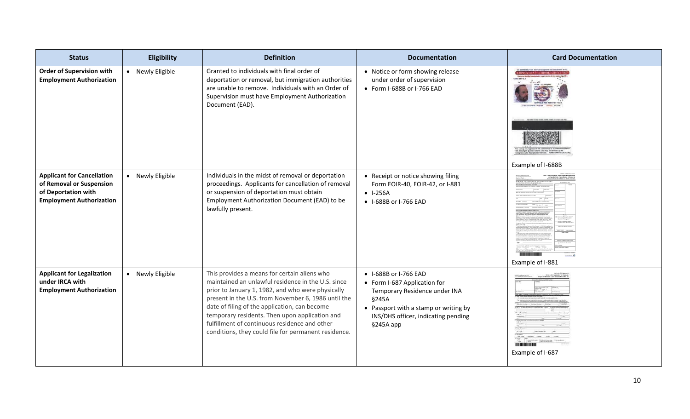| <b>Status</b>                                                                                                           | Eligibility      | <b>Definition</b>                                                                                                                                                                                                                                                                                                                                                                                                          | <b>Documentation</b>                                                                                                                                                                         | <b>Card Documentation</b> |
|-------------------------------------------------------------------------------------------------------------------------|------------------|----------------------------------------------------------------------------------------------------------------------------------------------------------------------------------------------------------------------------------------------------------------------------------------------------------------------------------------------------------------------------------------------------------------------------|----------------------------------------------------------------------------------------------------------------------------------------------------------------------------------------------|---------------------------|
| <b>Order of Supervision with</b><br><b>Employment Authorization</b>                                                     | • Newly Eligible | Granted to individuals with final order of<br>deportation or removal, but immigration authorities<br>are unable to remove. Individuals with an Order of<br>Supervision must have Employment Authorization<br>Document (EAD).                                                                                                                                                                                               | • Notice or form showing release<br>under order of supervision<br>• Form I-688B or I-766 EAD                                                                                                 | Example of I-688B         |
| <b>Applicant for Cancellation</b><br>of Removal or Suspension<br>of Deportation with<br><b>Employment Authorization</b> | • Newly Eligible | Individuals in the midst of removal or deportation<br>proceedings. Applicants for cancellation of removal<br>or suspension of deportation must obtain<br>Employment Authorization Document (EAD) to be<br>lawfully present.                                                                                                                                                                                                | • Receipt or notice showing filing<br>Form EOIR-40, EOIR-42, or I-881<br>$-1-256A$<br>• I-688B or I-766 EAD                                                                                  | Example of I-881          |
| <b>Applicant for Legalization</b><br>under IRCA with<br><b>Employment Authorization</b>                                 | • Newly Eligible | This provides a means for certain aliens who<br>maintained an unlawful residence in the U.S. since<br>prior to January 1, 1982, and who were physically<br>present in the U.S. from November 6, 1986 until the<br>date of filing of the application, can become<br>temporary residents. Then upon application and<br>fulfillment of continuous residence and other<br>conditions, they could file for permanent residence. | • I-688B or I-766 EAD<br>• Form I-687 Application for<br>Temporary Residence under INA<br>§245A<br>• Passport with a stamp or writing by<br>INS/DHS officer, indicating pending<br>§245A app | Example of I-687          |